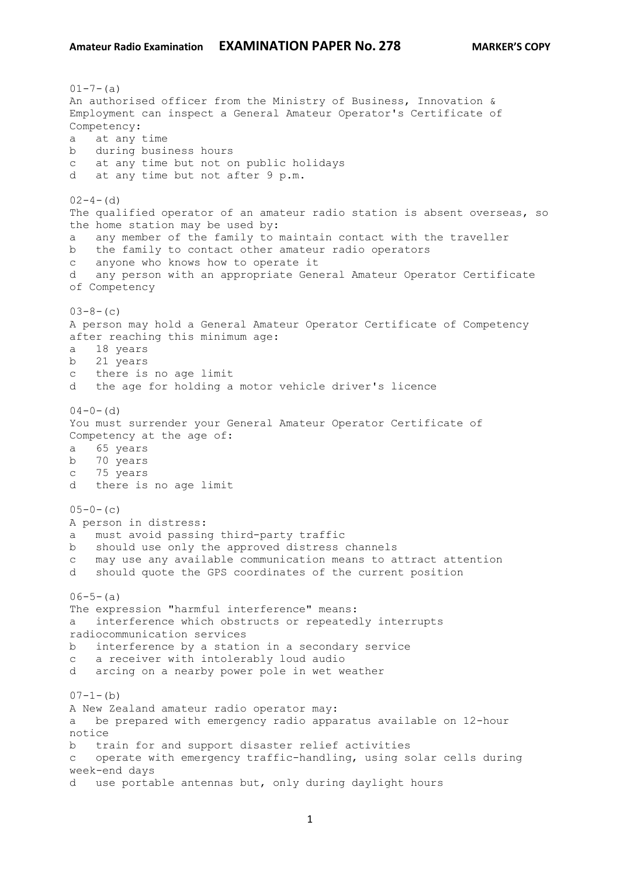$01 - 7 - (a)$ An authorised officer from the Ministry of Business, Innovation & Employment can inspect a General Amateur Operator's Certificate of Competency: a at any time b during business hours c at any time but not on public holidays d at any time but not after 9 p.m.  $02-4-$  (d) The qualified operator of an amateur radio station is absent overseas, so the home station may be used by: a any member of the family to maintain contact with the traveller b the family to contact other amateur radio operators c anyone who knows how to operate it d any person with an appropriate General Amateur Operator Certificate of Competency  $03-8-$  (c) A person may hold a General Amateur Operator Certificate of Competency after reaching this minimum age: a 18 years b 21 years c there is no age limit d the age for holding a motor vehicle driver's licence  $04-0-$  (d) You must surrender your General Amateur Operator Certificate of Competency at the age of: a 65 years b 70 years c 75 years d there is no age limit  $05-0-$  (c) A person in distress: a must avoid passing third-party traffic b should use only the approved distress channels c may use any available communication means to attract attention d should quote the GPS coordinates of the current position  $06-5-(a)$ The expression "harmful interference" means: a interference which obstructs or repeatedly interrupts radiocommunication services b interference by a station in a secondary service c a receiver with intolerably loud audio d arcing on a nearby power pole in wet weather  $07-1-(b)$ A New Zealand amateur radio operator may: a be prepared with emergency radio apparatus available on 12-hour notice b train for and support disaster relief activities c operate with emergency traffic-handling, using solar cells during week-end days d use portable antennas but, only during daylight hours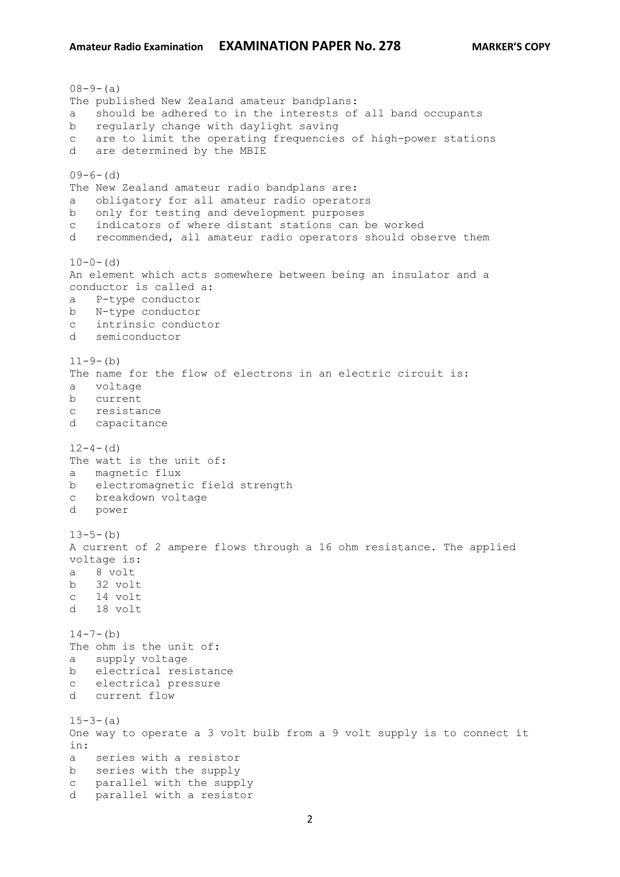$08-9-(a)$ The published New Zealand amateur bandplans: a should be adhered to in the interests of all band occupants b regularly change with daylight saving c are to limit the operating frequencies of high-power stations d are determined by the MBIE  $09-6-(d)$ The New Zealand amateur radio bandplans are: a obligatory for all amateur radio operators b only for testing and development purposes c indicators of where distant stations can be worked d recommended, all amateur radio operators should observe them  $10-0-$  (d) An element which acts somewhere between being an insulator and a conductor is called a: a P-type conductor b N-type conductor c intrinsic conductor d semiconductor  $11-9-(b)$ The name for the flow of electrons in an electric circuit is: a voltage b current c resistance d capacitance  $12-4-$  (d) The watt is the unit of: a magnetic flux b electromagnetic field strength c breakdown voltage d power  $13-5-(b)$ A current of 2 ampere flows through a 16 ohm resistance. The applied voltage is: a 8 volt b 32 volt c 14 volt d 18 volt  $14 - 7 - (b)$ The ohm is the unit of: a supply voltage b electrical resistance c electrical pressure d current flow  $15-3-(a)$ One way to operate a 3 volt bulb from a 9 volt supply is to connect it in: a series with a resistor b series with the supply c parallel with the supply d parallel with a resistor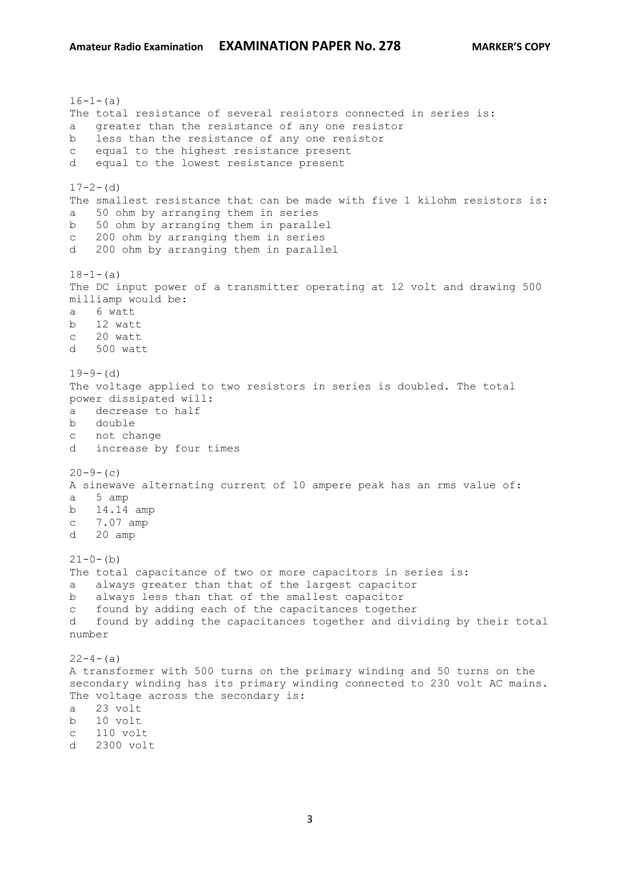$16-1-$ (a) The total resistance of several resistors connected in series is: a greater than the resistance of any one resistor b less than the resistance of any one resistor c equal to the highest resistance present d equal to the lowest resistance present  $17-2-$  (d) The smallest resistance that can be made with five 1 kilohm resistors is: a 50 ohm by arranging them in series b 50 ohm by arranging them in parallel c 200 ohm by arranging them in series d 200 ohm by arranging them in parallel  $18-1-(a)$ The DC input power of a transmitter operating at 12 volt and drawing 500 milliamp would be: a 6 watt b 12 watt c 20 watt d 500 watt  $19-9-$  (d) The voltage applied to two resistors in series is doubled. The total power dissipated will: a decrease to half b double c not change d increase by four times  $20-9-$  (c) A sinewave alternating current of 10 ampere peak has an rms value of: a 5 amp b 14.14 amp c 7.07 amp d 20 amp  $21-0-(b)$ The total capacitance of two or more capacitors in series is: a always greater than that of the largest capacitor b always less than that of the smallest capacitor c found by adding each of the capacitances together d found by adding the capacitances together and dividing by their total number  $22-4-(a)$ A transformer with 500 turns on the primary winding and 50 turns on the secondary winding has its primary winding connected to 230 volt AC mains. The voltage across the secondary is: a 23 volt b 10 volt c 110 volt d 2300 volt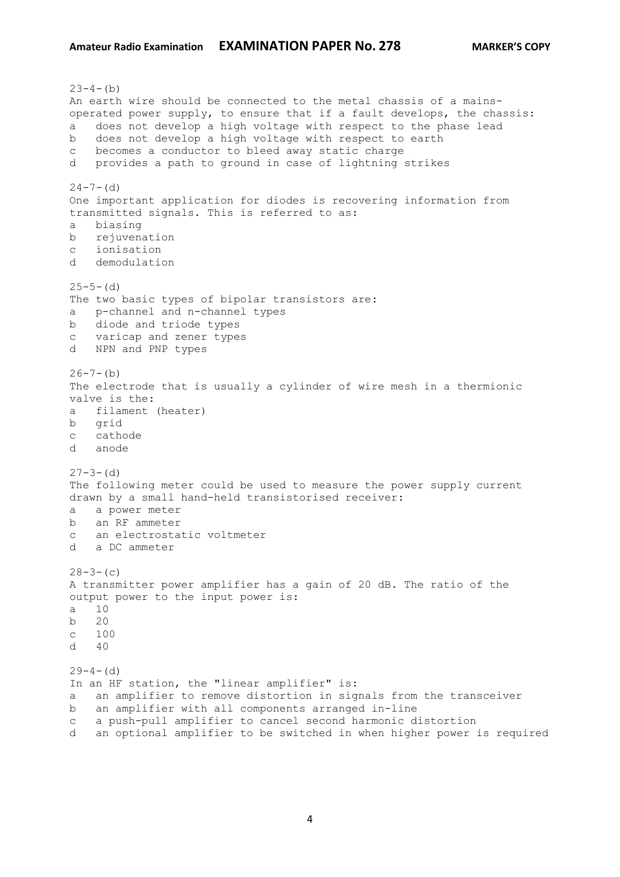$23-4-(b)$ An earth wire should be connected to the metal chassis of a mainsoperated power supply, to ensure that if a fault develops, the chassis: a does not develop a high voltage with respect to the phase lead b does not develop a high voltage with respect to earth c becomes a conductor to bleed away static charge d provides a path to ground in case of lightning strikes  $24 - 7 - (d)$ One important application for diodes is recovering information from transmitted signals. This is referred to as: a biasing b rejuvenation c ionisation d demodulation  $25-5-$  (d) The two basic types of bipolar transistors are: a p-channel and n-channel types b diode and triode types c varicap and zener types d NPN and PNP types  $26 - 7 - (b)$ The electrode that is usually a cylinder of wire mesh in a thermionic valve is the: a filament (heater) b grid c cathode d anode  $27-3-$  (d) The following meter could be used to measure the power supply current drawn by a small hand-held transistorised receiver: a a power meter b an RF ammeter c an electrostatic voltmeter d a DC ammeter  $28-3-$  (c) A transmitter power amplifier has a gain of 20 dB. The ratio of the output power to the input power is: a 10 b 20 c 100  $d \neq 40$  $29-4-$  (d) In an HF station, the "linear amplifier" is: a an amplifier to remove distortion in signals from the transceiver b an amplifier with all components arranged in-line c a push-pull amplifier to cancel second harmonic distortion d an optional amplifier to be switched in when higher power is required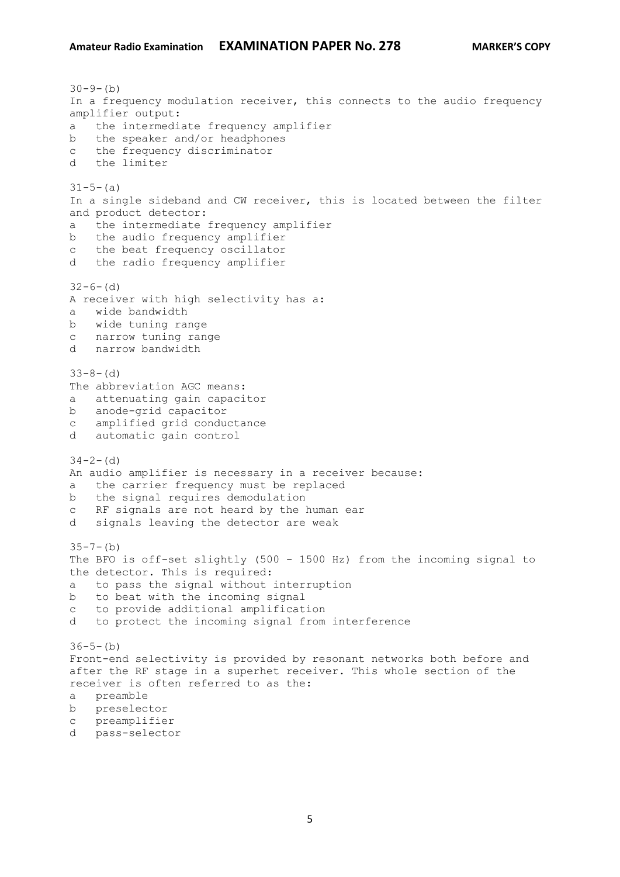## **Amateur Radio Examination EXAMINATION PAPER No. 278 MARKER'S COPY**

 $30-9-(b)$ In a frequency modulation receiver, this connects to the audio frequency amplifier output: a the intermediate frequency amplifier b the speaker and/or headphones c the frequency discriminator d the limiter  $31-5-(a)$ In a single sideband and CW receiver, this is located between the filter and product detector: a the intermediate frequency amplifier b the audio frequency amplifier c the beat frequency oscillator d the radio frequency amplifier  $32-6-$  (d) A receiver with high selectivity has a: a wide bandwidth b wide tuning range c narrow tuning range d narrow bandwidth  $33-8-(d)$ The abbreviation AGC means: a attenuating gain capacitor b anode-grid capacitor c amplified grid conductance d automatic gain control  $34-2-$  (d) An audio amplifier is necessary in a receiver because: a the carrier frequency must be replaced b the signal requires demodulation c RF signals are not heard by the human ear d signals leaving the detector are weak  $35 - 7 - (b)$ The BFO is off-set slightly (500 - 1500 Hz) from the incoming signal to the detector. This is required: a to pass the signal without interruption b to beat with the incoming signal c to provide additional amplification d to protect the incoming signal from interference  $36-5-(b)$ Front-end selectivity is provided by resonant networks both before and after the RF stage in a superhet receiver. This whole section of the receiver is often referred to as the: a preamble b preselector c preamplifier d pass-selector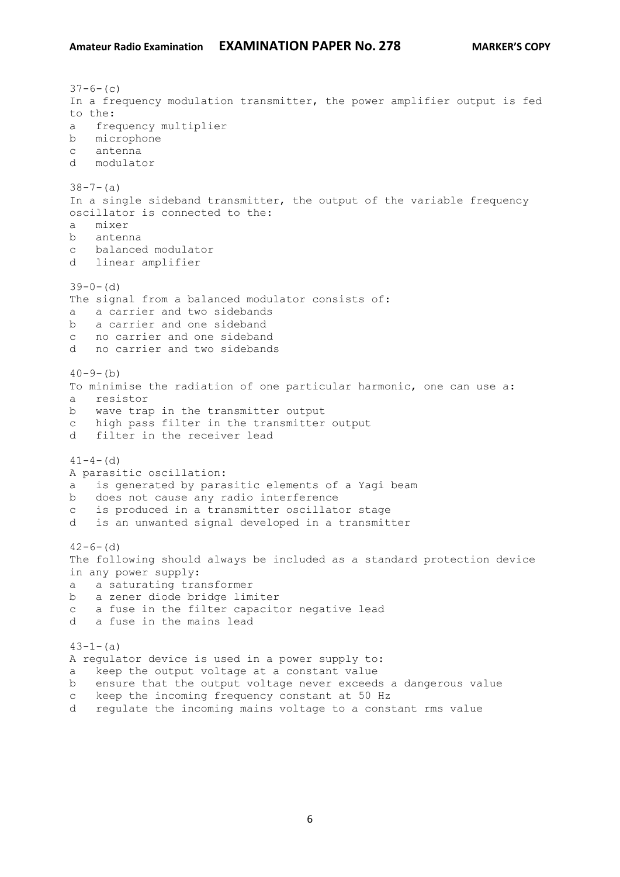```
37-6- (c)
In a frequency modulation transmitter, the power amplifier output is fed 
to the:
a frequency multiplier
b microphone
c antenna
d modulator
38 - 7 - (a)In a single sideband transmitter, the output of the variable frequency 
oscillator is connected to the:
a mixer
b antenna
c balanced modulator
d linear amplifier
39-0- (d)
The signal from a balanced modulator consists of:
a a carrier and two sidebands
b a carrier and one sideband
c no carrier and one sideband
d no carrier and two sidebands
40-9-(b)To minimise the radiation of one particular harmonic, one can use a:
a resistor
b wave trap in the transmitter output
c high pass filter in the transmitter output
d filter in the receiver lead
41-4- (d)
A parasitic oscillation:
a is generated by parasitic elements of a Yagi beam
b does not cause any radio interference
c is produced in a transmitter oscillator stage
d is an unwanted signal developed in a transmitter
42-6- (d)
The following should always be included as a standard protection device 
in any power supply:
a a saturating transformer
b a zener diode bridge limiter
c a fuse in the filter capacitor negative lead
d a fuse in the mains lead
43-1-(a)A regulator device is used in a power supply to:
a keep the output voltage at a constant value
b ensure that the output voltage never exceeds a dangerous value
c keep the incoming frequency constant at 50 Hz
```
d regulate the incoming mains voltage to a constant rms value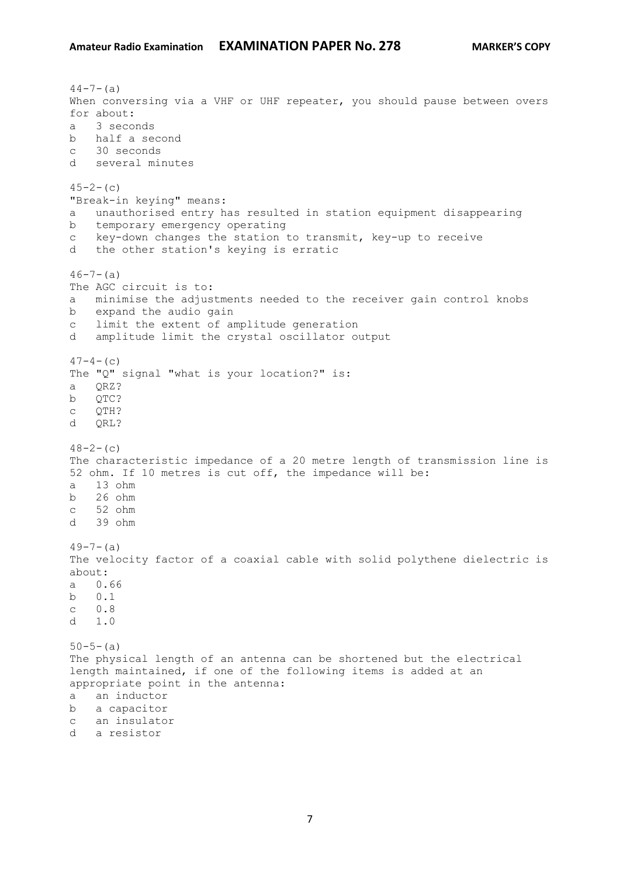$44-7-(a)$ When conversing via a VHF or UHF repeater, you should pause between overs for about: a 3 seconds b half a second c 30 seconds d several minutes  $45-2-$  (c) "Break-in keying" means: a unauthorised entry has resulted in station equipment disappearing b temporary emergency operating c key-down changes the station to transmit, key-up to receive d the other station's keying is erratic  $46 - 7 - (a)$ The AGC circuit is to: a minimise the adjustments needed to the receiver gain control knobs b expand the audio gain c limit the extent of amplitude generation d amplitude limit the crystal oscillator output  $47-4-$  (c) The "Q" signal "what is your location?" is: a QRZ? b QTC? c QTH? d QRL?  $48-2-$  (c) The characteristic impedance of a 20 metre length of transmission line is 52 ohm. If 10 metres is cut off, the impedance will be: a 13 ohm b 26 ohm c 52 ohm d 39 ohm  $49-7-(a)$ The velocity factor of a coaxial cable with solid polythene dielectric is about: a 0.66 b 0.1 c 0.8 d 1.0  $50 - 5 - (a)$ The physical length of an antenna can be shortened but the electrical length maintained, if one of the following items is added at an appropriate point in the antenna: a an inductor b a capacitor c an insulator d a resistor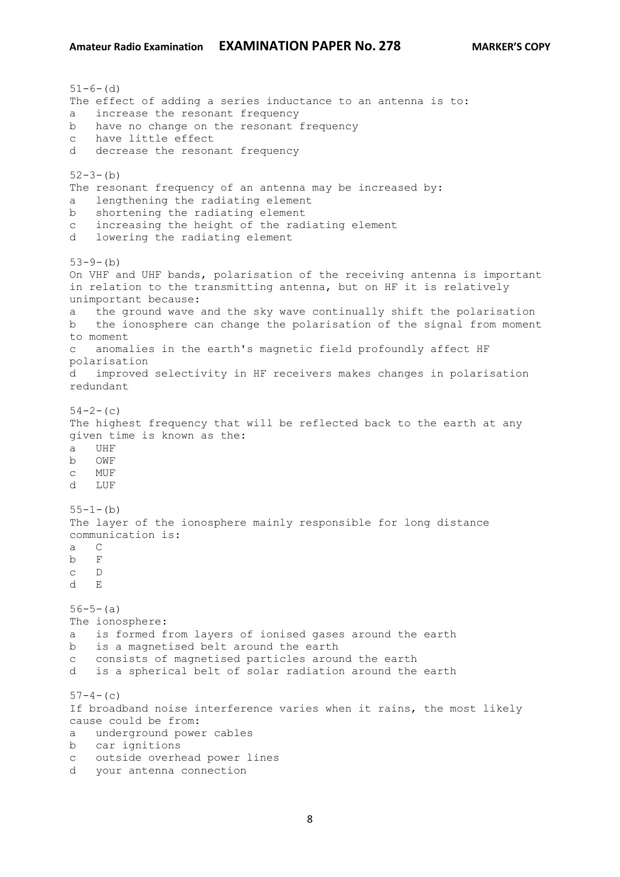$51-6-$  (d) The effect of adding a series inductance to an antenna is to: a increase the resonant frequency b have no change on the resonant frequency c have little effect d decrease the resonant frequency  $52-3-(b)$ The resonant frequency of an antenna may be increased by: a lengthening the radiating element b shortening the radiating element c increasing the height of the radiating element d lowering the radiating element  $53-9-$ (b) On VHF and UHF bands, polarisation of the receiving antenna is important in relation to the transmitting antenna, but on HF it is relatively unimportant because: a the ground wave and the sky wave continually shift the polarisation b the ionosphere can change the polarisation of the signal from moment to moment c anomalies in the earth's magnetic field profoundly affect HF polarisation d improved selectivity in HF receivers makes changes in polarisation redundant  $54-2-$ (c) The highest frequency that will be reflected back to the earth at any given time is known as the: a UHF b OWF c MUF d LUF  $55-1-(b)$ The layer of the ionosphere mainly responsible for long distance communication is: a C b F c D d E  $56-5-(a)$ The ionosphere: a is formed from layers of ionised gases around the earth b is a magnetised belt around the earth c consists of magnetised particles around the earth d is a spherical belt of solar radiation around the earth  $57-4-$ (c) If broadband noise interference varies when it rains, the most likely cause could be from: a underground power cables b car ignitions c outside overhead power lines d your antenna connection